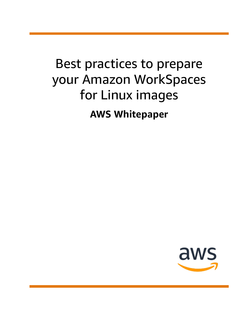# Best practices to prepare your Amazon WorkSpaces for Linux images **AWS Whitepaper**

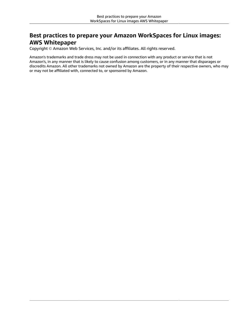### **Best practices to prepare your Amazon WorkSpaces for Linux images: AWS Whitepaper**

Copyright © Amazon Web Services, Inc. and/or its affiliates. All rights reserved.

Amazon's trademarks and trade dress may not be used in connection with any product or service that is not Amazon's, in any manner that is likely to cause confusion among customers, or in any manner that disparages or discredits Amazon. All other trademarks not owned by Amazon are the property of their respective owners, who may or may not be affiliated with, connected to, or sponsored by Amazon.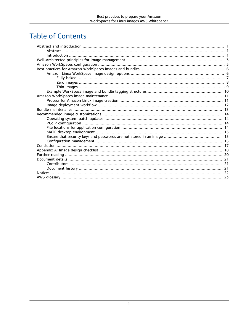### **Table of Contents**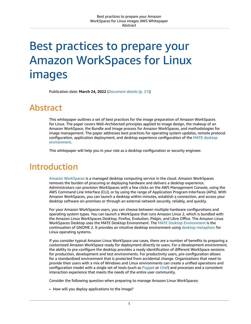# <span id="page-3-0"></span>Best practices to prepare your Amazon WorkSpaces for Linux images

Publication date: **March 24, 2022** (*[Document details](#page-23-0)* [\(p. 21\)](#page-23-0))

### <span id="page-3-1"></span>Abstract

This whitepaper outlines a set of best practices for the image preparation of Amazon WorkSpaces for Linux. The paper covers Well-Architected principles applied to image design, the makeup of an Amazon WorkSpace, the Bundle and Image process for Amazon WorkSpaces, and methodologies for image management. The paper addresses best practices for operating system updates, remote protocol configuration, application deployment, and desktop experience configuration of the MATE [desktop](https://mate-desktop.org/) [environment](https://mate-desktop.org/).

This whitepaper will help you in your role as a desktop configuration or security engineer.

### <span id="page-3-2"></span>Introduction

Amazon [WorkSpaces](https://aws.amazon.com/workspaces/) is a managed desktop computing service in the cloud. Amazon WorkSpaces removes the burden of procuring or deploying hardware and delivers a desktop experience. Administrators can provision WorkSpaces with a few clicks on the AWS Management Console, using the AWS Command Line Interface (CLI), or by using the range of Application Program Interfaces (APIs). With Amazon WorkSpaces, you can launch a desktop within minutes, establish a connection, and access your desktop software on-premises or through an external network securely, reliably, and quickly.

For your Amazon WorkSpaces users, you can choose between multiple hardware configurations and operating system types. You can launch a WorkSpace that runs Amazon Linux 2, which is bundled with the Amazon Linux WorkSpaces Desktop, Firefox, Evolution, Pidgin, and Libre Office. The Amazon Linux WorkSpaces Desktop uses the MATE Desktop Environment. The MATE Desktop [Environment](https://mate-desktop.org/) is the continuation of GNOME 2. It provides an intuitive desktop environment using desktop [metaphors](https://en.wikipedia.org/wiki/Desktop_metaphor) for Linux operating systems.

If you consider typical Amazon Linux WorkSpace use cases, there are a number of benefits to preparing a customized Amazon WorkSpace ready for deployment directly to users. For a development environment, the ability to pre-configure the desktop provides a ready identification of different WorkSpace sessions for production, development and test environments. For productivity users, pre-configuration allows for a standardized environment that is protected from accidental change. Organizations that need to provide their users with a mix of Windows and Linux environments can create a unified operations and configuration model with a single set of tools (such as [Puppet](https://puppet.com/) or [Chef\)](https://www.chef.io/products/chef-infra/) and processes and a consistent interaction experience that meets the needs of the entire user community.

Consider the following question when preparing to manage Amazon Linux WorkSpaces:

• How will you deploy applications to the image?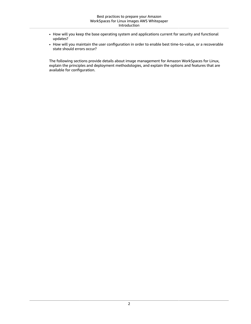- How will you keep the base operating system and applications current for security and functional updates?
- How will you maintain the user configuration in order to enable best time-to-value, or a recoverable state should errors occur?

The following sections provide details about image management for Amazon WorkSpaces for Linux, explain the principles and deployment methodologies, and explain the options and features that are available for configuration.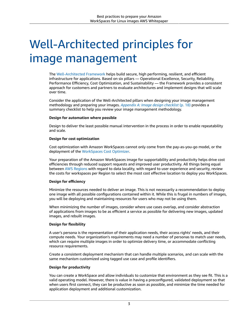# <span id="page-5-0"></span>Well-Architected principles for image management

The [Well-Architected](https://docs.aws.amazon.com/wellarchitected/latest/framework/welcome.html) Framework helps build secure, high performing, resilient, and efficient infrastructure for applications. Based on six pillars — Operational Excellence, Security, Reliability, Performance Efficiency, Cost Optimization, and Sustainability — the Framework provides a consistent approach for customers and partners to evaluate architectures and implement designs that will scale over time.

Consider the application of the Well-Architected pillars when designing your image management methodology and preparing your images. *[Appendix A: Image design checklist](#page-20-0)* [\(p. 18\)](#page-20-0) provides a summary checklist to help you review your image management methodology.

#### **Design for automation where possible**

Design to deliver the least possible manual intervention in the process in order to enable repeatability and scale.

#### **Design for cost optimization**

Cost optimization with Amazon WorkSpaces cannot only come from the pay-as-you-go model, or the deployment of the [WorkSpaces](https://aws.amazon.com/solutions/amazon-workspaces-cost-optimizer/) Cost Optimizer.

Your preparation of the Amazon WorkSpaces image for supportability and productivity helps drive cost efficiencies through reduced support requests and improved user productivity. All things being equal between AWS [Regions](https://docs.aws.amazon.com/AmazonRDS/latest/UserGuide/Concepts.RegionsAndAvailabilityZones.html) with regard to data locality, with regard to user experience and security, review the costs for workspaces per Region to select the most cost effective location to deploy you WorkSpaces.

### **Design for efficiency**

Minimize the resources needed to deliver an image. This is not necessarily a recommendation to deploy one image with all possible configurations contained within it. While this is frugal in numbers of images, you will be deploying and maintaining resources for users who may not be using them.

When minimizing the number of images, consider where use cases overlap, and consider abstraction of applications from images to be as efficient a service as possible for delivering new images, updated images, and rebuilt images.

### **Design for flexibility**

A user's persona is the representation of their application needs, their access rights' needs, and their compute needs. Your organization's requirements may need a number of personas to match user needs, which can require multiple images in order to optimize delivery time, or accommodate conflicting resource requirements.

Create a consistent deployment mechanism that can handle multiple scenarios, and can scale with the same mechanism customized using tagged use case and profile identifiers.

### **Design for productivity**

You can create a WorkSpace and allow individuals to customize that environment as they see fit. This is a valid operating model. However, there is value in having a preconfigured, validated deployment so that when users first connect, they can be productive as soon as possible, and minimize the time needed for application deployment and additional customization.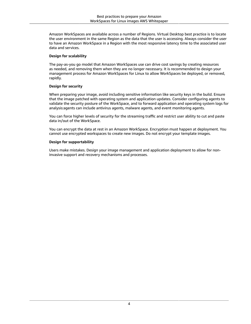Amazon WorkSpaces are available across a number of Regions. Virtual Desktop best practice is to locate the user environment in the same Region as the data that the user is accessing. Always consider the user to have an Amazon WorkSpace in a Region with the most responsive latency time to the associated user data and services.

### **Design for scalability**

The pay-as-you go model that Amazon WorkSpaces use can drive cost savings by creating resources as needed, and removing them when they are no longer necessary. It is recommended to design your management process for Amazon WorkSpaces for Linux to allow WorkSpaces be deployed, or removed, rapidly.

### **Design for security**

When preparing your image, avoid including sensitive information like security keys in the build. Ensure that the image patched with operating system and application updates. Consider configuring agents to validate the security posture of the WorkSpace, and to forward application and operating system logs for analysis:agents can include antivirus agents, malware agents, and event monitoring agents.

You can force higher levels of security for the streaming traffic and restrict user ability to cut and paste data in/out of the WorkSpace.

You can encrypt the data at rest in an Amazon WorkSpace. Encryption must happen at deployment. You cannot use encrypted workspaces to create new images. Do not encrypt your template images.

### **Design for supportability**

Users make mistakes. Design your image management and application deployment to allow for noninvasive support and recovery mechanisms and processes.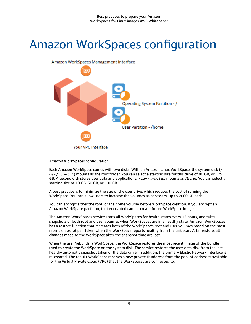## <span id="page-7-0"></span>Amazon WorkSpaces configuration



Amazon WorkSpaces configuration

Each Amazon WorkSpace comes with two disks. With an Amazon Linux WorkSpace, the system disk (/ dev/nvme0n1) mounts as the root folder. You can select a starting size for this drive of 80 GB, or 175 GB. A second disk stores user data and applications; /dev/nvme1n1 mounts as /home. You can select a starting size of 10 GB, 50 GB, or 100 GB.

A best practice is to minimize the size of the user drive, which reduces the cost of running the WorkSpace. You can allow users to increase the volumes as necessary, up to 2000 GB each.

You can encrypt either the root, or the home volume before WorkSpace creation. If you encrypt an Amazon WorkSpace partition, that encrypted cannot create future WorkSpace images.

The Amazon WorkSpaces service scans all WorkSpaces for health states every 12 hours, and takes snapshots of both root and user volumes when WorkSpaces are in a healthy state. Amazon WorkSpaces has a restore function that recreates both of the WorkSpace's root and user volumes based on the most recent snapshot pair taken when the WorkSpace reports healthy from the last scan. After restore, all changes made to the WorkSpace after the snapshot time are lost.

When the user 'rebuilds' a WorkSpace, the WorkSpace restores the most recent image of the bundle used to create the WorkSpace on the system disk. The service restores the user data disk from the last healthy automatic snapshot taken of the data drive. In addition, the primary Elastic Network Interface is re-created. The rebuilt WorkSpace receives a new private IP address from the pool of addresses available for the Virtual Private Cloud (VPC) that the WorkSpaces are connected to.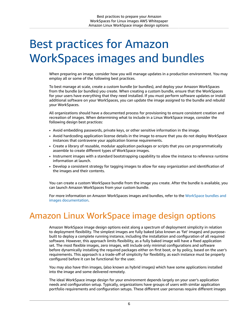## <span id="page-8-0"></span>Best practices for Amazon WorkSpaces images and bundles

When preparing an image, consider how you will manage updates in a production environment. You may employ all or some of the following best practices.

To best manage at scale, create a custom bundle (or bundles), and deploy your Amazon WorkSpaces from the bundle (or bundles) you create. When creating a custom bundle, ensure that the WorkSpaces for your users have everything that they need installed. If you must perform software updates or install additional software on your WorkSpaces, you can update the image assigned to the bundle and rebuild your WorkSpaces.

All organizations should have a documented process for provisioning to ensure consistent creation and recreation of images. When determining what to include in a Linux WorkSpace image, consider the following design best practices:

- Avoid embedding passwords, private keys, or other sensitive information in the image.
- Avoid hardcoding application license details in the image to ensure that you do not deploy WorkSpace instances that contravene your application license requirements.
- Create a library of reusable, modular application packages or scripts that you can programmatically assemble to create different types of WorkSpace images.
- Instrument images with a standard bootstrapping capability to allow the instance to reference runtime information at launch.
- Develop a consistent strategy for tagging images to allow for easy organization and identification of the images and their contents.

You can create a custom WorkSpace bundle from the image you create. After the bundle is available, you can launch Amazon WorkSpaces from your custom bundle.

For more information on Amazon WorkSpaces images and bundles, refer to the [WorkSpace](https://docs.aws.amazon.com/workspaces/latest/adminguide/amazon-workspaces-bundles.html) bundles and [images documentation.](https://docs.aws.amazon.com/workspaces/latest/adminguide/amazon-workspaces-bundles.html)

## <span id="page-8-1"></span>Amazon Linux WorkSpace image design options

Amazon WorkSpace image design options exist along a spectrum of deployment simplicity in relation to deployment flexibility. The simplest images are fully baked (also known as 'fat' images) and purposebuilt to deploy a complete running instance, including the installation and configuration of all required software. However, this approach limits flexibility, as a fully baked image will have a fixed application set. The most flexible images, zero images, will include only minimal configurations and software before dynamically installing the required packages either on first boot, or by policy, based on the user's requirements. This approach is a trade-off of simplicity for flexibility, as each instance must be properly configured before it can be functional for the user.

You may also have thin images, (also known as hybrid images) which have some applications installed into the image and some delivered remotely.

The ideal WorkSpace image design for your environment depends largely on your user's application needs and configuration setup. Typically, organizations have groups of users with similar application portfolio requirements and configuration setups. These different user personas require different images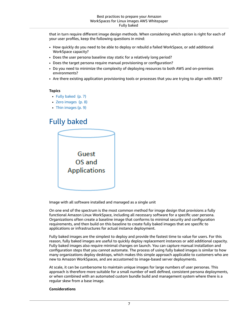that in turn require different image design methods. When considering which option is right for each of your user profiles, keep the following questions in mind:

- How quickly do you need to be able to deploy or rebuild a failed WorkSpace, or add additional WorkSpace capacity?
- Does the user persona baseline stay static for a relatively long period?
- Does the target persona require manual provisioning or configuration?
- Do you need to minimize the complexity of deploying resources to both AWS and on-premises environments?
- Are there existing application provisioning tools or processes that you are trying to align with AWS?

#### **Topics**

- Fully [baked \(p. 7\)](#page-9-0)
- Zero [images \(p. 8\)](#page-10-0)
- [Thin images \(p. 9\)](#page-11-0)

### <span id="page-9-0"></span>Fully baked

| Guest               |  |
|---------------------|--|
| OS and              |  |
| <b>Applications</b> |  |
|                     |  |
|                     |  |

Image with all software installed and managed as a single unit

On one end of the spectrum is the most common method for image design that provisions a fully functional Amazon Linux WorkSpace, including all necessary software for a specific user persona. Organizations often create a baseline image that conforms to minimal security and configuration requirements, and then build on this baseline to create fully baked images that are specific to applications or infrastructures for actual instance deployment.

Fully baked images are the simplest to deploy and provide the fastest time to value for users. For this reason, fully baked images are useful to quickly deploy replacement instances or add additional capacity. Fully baked images also require minimal changes on launch. You can capture manual installation and configuration steps that you cannot automate. The process of using fully baked images is similar to how many organizations deploy desktops, which makes this simple approach applicable to customers who are new to Amazon WorkSpaces, and are accustomed to image-based server deployments.

At scale, it can be cumbersome to maintain unique images for large numbers of user personas. This approach is therefore more suitable for a small number of well defined, consistent persona deployments, or when combined with an automated custom bundle build and management system where there is a regular skew from a base image.

#### **Considerations**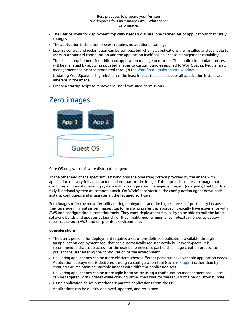- The user persona for deployment typically needs a discrete, pre-defined set of applications that rarely changes.
- The application installation process requires no additional tooling.
- License control and reclamation can be complicated when all applications are installed and available to users in a standard configuration and the application itself has no license management capability.
- There is no requirement for additional application management tools. The application update process will be managed by applying updated images to custom bundles applied to WorkSpaces. Regular patch management can be accommodated through the WorkSpace [maintenance](https://docs.aws.amazon.com/workspaces/latest/adminguide/workspace-maintenance.html) window.
- Updating WorkSpaces using rebuild has the least impact to users because all application installs are inherent in the image.
- Create a startup script to remove the user from sudo permissions.

### <span id="page-10-0"></span>Zero images



Core OS only with software distribution agents

At the other end of the spectrum is having only the operating system provided by the image with application delivery fully abstracted and not part of the image. This approach creates an image that combines a minimal operating system with a configuration management agent (or agents) that builds a fully functional system at instance launch. On WorkSpace startup, the configuration agent downloads, installs, configures, and integrates all the required software.

Zero images offer the most flexibility during deployment and the highest levels of portability because they leverage minimal server images. Customers who prefer this approach typically have experience with AWS and configuration automation tools. They want deployment flexibility to be able to pull the latest software builds and updates at launch, or they might require minimal complexity in order to deploy resources to both AWS and on-premises environments.

### **Considerations**

- The user's persona for deployment requires a set of pre-defined applications available through an application deployment tool that can automatically register newly built WorkSpaces. It is recommended that sudo access for the user be removed as part of the image creation process to prevent the user altering the configuration of the environment.
- Delivering applications can be more efficient where different personas have variable application needs. Application deployment is delivered through a configuration tool (such as [Puppet\)](https://puppet.com/) rather than by creating and maintaining multiple images with different application sets.
- Delivering applications can be more agile because, by using a configuration management tool, users can be targeted with updates while working rather than wait for the rebuild of a new custom bundle.
- Using application delivery methods separates applications from the OS.
- Applications can be quickly deployed, updated, and reclaimed.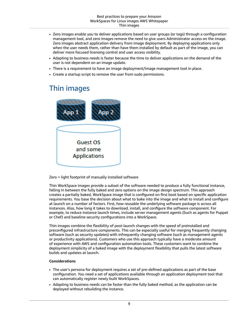- Zero images enable you to deliver applications based on user groups (or tags) through a configuration management tool, and zero images remove the need to give users Administrator access on the image. Zero images abstract application delivery from image deployment. By deploying applications only when the user needs them, rather than have them installed by default as part of the image, you can deliver more focused licensing control and user access visibility.
- Adapting to business needs is faster because the time to deliver applications on the demand of the user is not dependent on an image update.
- There is a requirement to have an image deployment/image management tool in place.
- Create a startup script to remove the user from sudo permissions.

### <span id="page-11-0"></span>Thin images



Zero + light footprint of manually installed software

Thin WorkSpace images provide a subset of the software needed to produce a fully functional instance, falling in between the fully baked and zero options on the image design spectrum. This approach creates a partially baked, WorkSpace image that is configured on first boot based on specific application requirements. You base the decision about what to bake into the image and what to install and configure at launch on a number of factors. First, how reusable the underlying software package is across all instances. Also, how long it takes to download, install, and configure the software component. For example, to reduce instance launch times, include server management agents (Such as agents for Puppet or Chef) and baseline security configurations into a WorkSpace.

Thin images combine the flexibility of post-launch changes with the speed of preinstalled and preconfigured infrastructure components. This can be especially useful for merging frequently changing software (such as security updates) with infrequently changing software (such as management agents or productivity applications). Customers who use this approach typically have a moderate amount of experience with AWS and configuration automation tools. These customers want to combine the deployment simplicity of a baked image with the deployment flexibility that pulls the latest software builds and updates at launch.

### **Considerations**

- The user's persona for deployment requires a set of pre-defined applications as part of the base configuration. You need a set of applications available through an application deployment tool that can automatically register newly built WorkSpaces.
- Adapting to business needs can be faster than the fully baked method, as the application can be deployed without rebuilding the instance.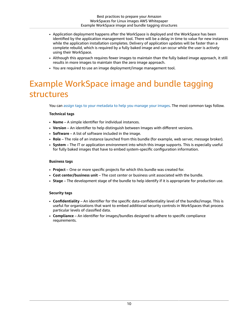- Application deployment happens after the WorkSpace is deployed and the WorkSpace has been identified by the application management tool. There will be a delay in time to value for new instances while the application installation completes. Delivery of application updates will be faster than a complete rebuild, which is required by a fully baked image and can occur while the user is actively using their WorkSpace.
- Although this approach requires fewer images to maintain than the fully baked image approach, it still results in more images to maintain than the zero image approach.
- You are required to use an image deployment/image management tool.

## <span id="page-12-0"></span>Example WorkSpace image and bundle tagging structures

You can assign tags to your [metadata](https://docs.aws.amazon.com/AWSEC2/latest/UserGuide/Using_Tags.html#tag-basics) to help you manage your images. The most common tags follow.

### **Technical tags**

- **Name** A simple identifier for individual instances.
- **Version** An identifier to help distinguish between Images with different versions.
- **Software** A list of software included in the image.
- **Role** The role of an instance launched from this bundle (for example, web server, message broker).
- **System**  The IT or application environment into which this image supports. This is especially useful for fully baked images that have to embed system-specific configuration information.

#### **Business tags**

- **Project** One or more specific projects for which this bundle was created for.
- **Cost center/business unit** The cost center or business unit associated with the bundle.
- **Stage** The development stage of the bundle to help identify if it is appropriate for production use.

### **Security tags**

- **Confidentiality** An identifier for the specific data-confidentiality level of the bundle/image. This is useful for organizations that want to embed additional security controls in WorkSpaces that process particular levels of classified data.
- **Compliance** An identifier for images/bundles designed to adhere to specific compliance requirements.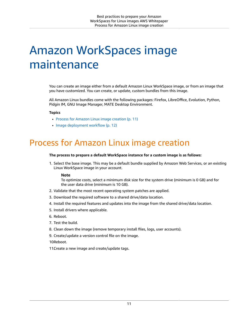## <span id="page-13-0"></span>Amazon WorkSpaces image maintenance

You can create an image either from a default Amazon Linux WorkSpace image, or from an image that you have customized. You can create, or update, custom bundles from this image.

All Amazon Linux bundles come with the following packages: Firefox, LibreOffice, Evolution, Python, Pidgin IM, GNU Image Manager, MATE Desktop Environment.

#### **Topics**

- Process for Amazon Linux image [creation \(p. 11\)](#page-13-1)
- Image deployment [workflow \(p. 12\)](#page-14-0)

### <span id="page-13-1"></span>Process for Amazon Linux image creation

#### **The process to prepare a default WorkSpace instance for a custom image is as follows:**

1. Select the base image. This may be a default bundle supplied by Amazon Web Services, or an existing Linux WorkSpace image in your account.

#### **Note**

To optimize costs, select a minimum disk size for the system drive (minimum is 0 GB) and for the user data drive (minimum is 10 GB).

- 2. Validate that the most recent operating system patches are applied.
- 3. Download the required software to a shared drive/data location.
- 4. Install the required features and updates into the image from the shared drive/data location.
- 5. Install drivers where applicable.
- 6. Reboot.
- 7. Test the build.
- 8. Clean down the image (remove temporary install files, logs, user accounts).
- 9. Create/update a version control file on the image.
- 10Reboot.
- 11 Create a new image and create/update tags.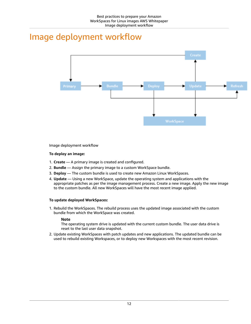## <span id="page-14-0"></span>Image deployment workflow



Image deployment workflow

### **To deploy an image:**

- 1. **Create** A primary image is created and configured.
- 2. **Bundle** Assign the primary image to a custom WorkSpace bundle.
- 3. **Deploy** The custom bundle is used to create new Amazon Linux WorkSpaces.
- 4. **Update** Using a new WorkSpace, update the operating system and applications with the appropriate patches as per the image management process. Create a new image. Apply the new image to the custom bundle. All new WorkSpaces will have the most recent image applied.

### **To update deployed WorkSpaces:**

1. Rebuild the WorkSpaces. The rebuild process uses the updated image associated with the custom bundle from which the WorkSpace was created.

### **Note**

The operating system drive is updated with the current custom bundle. The user data drive is reset to the last user data snapshot.

2. Update existing WorkSpaces with patch updates and new applications. The updated bundle can be used to rebuild existing Workspaces, or to deploy new Workspaces with the most recent revision.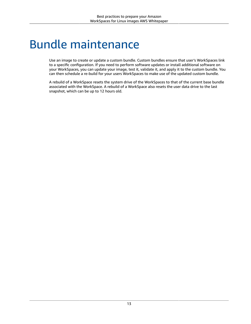## <span id="page-15-0"></span>Bundle maintenance

Use an image to create or update a custom bundle. Custom bundles ensure that user's WorkSpaces link to a specific configuration. If you need to perform software updates or install additional software on your WorkSpaces, you can update your image, test it, validate it, and apply it to the custom bundle. You can then schedule a re-build for your users WorkSpaces to make use of the updated custom bundle.

A rebuild of a WorkSpace resets the system drive of the WorkSpaces to that of the current base bundle associated with the WorkSpace. A rebuild of a WorkSpace also resets the user data drive to the last snapshot, which can be up to 12 hours old.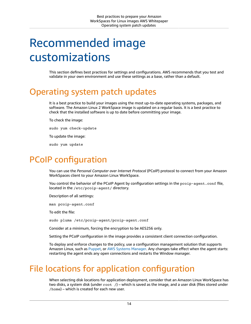## <span id="page-16-0"></span>Recommended image customizations

This section defines best practices for settings and configurations. AWS recommends that you test and validate in your own environment and use these settings as a base, rather than a default.

### <span id="page-16-1"></span>Operating system patch updates

It is a best practice to build your images using the most up-to-date operating systems, packages, and software. The Amazon Linux 2 WorkSpace image is updated on a regular basis. It is a best practice to check that the installed software is up to date before committing your image.

To check the image:

sudo yum check-update

To update the image:

sudo yum update

### <span id="page-16-2"></span>PCoIP configuration

You can use the *Personal Computer over Internet Protocol* (PCoIP) protocol to connect from your Amazon WorkSpaces client to your Amazon Linux WorkSpace.

You control the behavior of the PCoIP Agent by configuration settings in the pcoip-agent.conf file, located in the /etc/pcoip-agent/ directory.

Description of all settings:

man pcoip-agent.conf

To edit the file:

sudo pluma /etc/pcoip-agent/pcoip-agent.conf

Consider at a minimum, forcing the encryption to be AES256 only.

Setting the PCoIP configuration in the image provides a consistent client connection configuration.

To deploy and enforce changes to the policy, use a configuration management solution that supports Amazon Linux, such as [Puppet](https://puppet.com/), or AWS Systems [Manager.](https://aws.amazon.com/systems-manager/) Any changes take effect when the agent starts: restarting the agent ends any open connections and restarts the Window manager.

## <span id="page-16-3"></span>File locations for application configuration

When selecting disk locations for application deployment, consider that an Amazon Linux WorkSpace has two disks, a system disk (under root /) – which is saved as the image, and a user disk (files stored under /home) – which is created for each new user.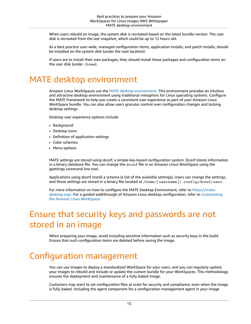When users rebuild an image, the system disk is recreated based on the latest bundle version. The user disk is recreated from the last snapshot, which could be up to 12 hours old.

As a best practice user-wide, managed configuration items, application installs, and patch installs, should be installed on the system disk (under the root location).

If users are to install their own packages, they should install those packages and configuration items on the user disk (under /home).

### <span id="page-17-0"></span>MATE desktop environment

Amazon Linux WorkSpaces use the MATE desktop [environment.](https://mate-desktop.org/) This environment provides an intuitive and attractive desktop environment using traditional metaphors for Linux operating systems. Configure the MATE framework to help you create a consistent user experience as part of your Amazon Linux WorkSpace bundle. You can also allow users granular control over configuration changes and locking desktop settings.

Desktop user experience options include:

- Background
- Desktop icons
- Definition of application settings
- Color schemes
- Menu options

MATE settings are stored using dconf, a simple key-based configuration system. Dconf stores information in a binary database file. You can change the dconf file in an Amazon Linux WorkSpace using the gsettings command line tool.

Applications using dconf install a schema (a list of the available settings). Users can change the settings, and those settings are stored in a binary file located at /home/[username]/.config/dconf/user.

For more information on how to configure the MATE Desktop Environment, refer to [https://mate](https://mate-desktop.org/)[desktop.org/](https://mate-desktop.org/). For a guided walkthrough of Amazon Linux desktop configuration, refer to [Customizing](https://aws.amazon.com/blogs/desktop-and-application-streaming/customizing-the-amazon-linux-workspace/) the Amazon Linux [WorkSpace.](https://aws.amazon.com/blogs/desktop-and-application-streaming/customizing-the-amazon-linux-workspace/)

## <span id="page-17-1"></span>Ensure that security keys and passwords are not stored in an image

When preparing your image, avoid including sensitive information such as security keys in the build. Ensure that such configuration items are deleted before saving the image.

## <span id="page-17-2"></span>Configuration management

You can use images to deploy a standardized WorkSpace for your users, and you can regularly update your images to rebuild and include or update the custom bundle for your WorkSpaces. This methodology ensures the deployment and maintenance of a fully baked image.

Customers may want to set configuration files at scale for security and compliance; even when the image is fully baked. Including the agent component for a configuration management agent in your image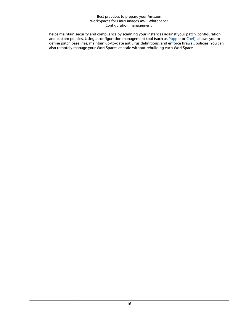helps maintain security and compliance by scanning your instances against your patch, configuration, and custom policies. Using a configuration management tool (such as [Puppet](https://puppet.com/use-cases/continuous-configuration-automation/) or [Chef](https://www.chef.io/products/chef-infra/)), allows you to define patch baselines, maintain up-to-date antivirus definitions, and enforce firewall policies. You can also remotely manage your WorkSpaces at scale without rebuilding each WorkSpace.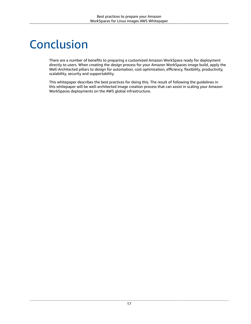## <span id="page-19-0"></span>Conclusion

There are a number of benefits to preparing a customized Amazon WorkSpace ready for deployment directly to users. When creating the design process for your Amazon WorkSpaces image build, apply the Well-Architected pillars to design for automation, cost optimization, efficiency, flexibility, productivity, scalability, security and supportability.

This whitepaper describes the best practices for doing this. The result of following the guidelines in this whitepaper will be well-architected image creation process that can assist in scaling your Amazon WorkSpaces deployments on the AWS global infrastructure.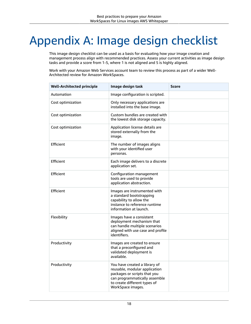# <span id="page-20-0"></span>Appendix A: Image design checklist

This image design checklist can be used as a basis for evaluating how your image creation and management process align with recommended practices. Assess your current activities as image design tasks and provide a score from 1-5, where 1 is not aligned and 5 is highly aligned.

Work with your Amazon Web Services account team to review this process as part of a wider Well-Architected review for Amazon WorkSpaces.

| <b>Well-Architected principle</b> | Image design task                                                                                                                                                                    | <b>Score</b> |
|-----------------------------------|--------------------------------------------------------------------------------------------------------------------------------------------------------------------------------------|--------------|
| Automation                        | Image configuration is scripted.                                                                                                                                                     |              |
| Cost optimization                 | Only necessary applications are<br>installed into the base image.                                                                                                                    |              |
| Cost optimization                 | Custom bundles are created with<br>the lowest disk storage capacity.                                                                                                                 |              |
| Cost optimization                 | Application license details are<br>stored externally from the<br>image.                                                                                                              |              |
| Efficient                         | The number of images aligns<br>with your identified user<br>personas.                                                                                                                |              |
| Efficient                         | Each image delivers to a discrete<br>application set.                                                                                                                                |              |
| Efficient                         | Configuration management<br>tools are used to provide<br>application abstraction.                                                                                                    |              |
| Efficient                         | Images are instrumented with<br>a standard bootstrapping<br>capability to allow the<br>instance to reference runtime<br>information at launch.                                       |              |
| Flexibility                       | Images have a consistent<br>deployment mechanism that<br>can handle multiple scenarios<br>aligned with use case and profile<br>identifiers.                                          |              |
| Productivity                      | Images are created to ensure<br>that a preconfigured and<br>validated deployment is<br>available.                                                                                    |              |
| Productivity                      | You have created a library of<br>reusable, modular application<br>packages or scripts that you<br>can programmatically assemble<br>to create different types of<br>WorkSpace images. |              |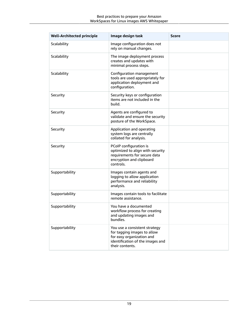| <b>Well-Architected principle</b> | Image design task                                                                                                                                | <b>Score</b> |
|-----------------------------------|--------------------------------------------------------------------------------------------------------------------------------------------------|--------------|
| Scalability                       | Image configuration does not<br>rely on manual changes.                                                                                          |              |
| Scalability                       | The image deployment process<br>creates and updates with<br>minimal process steps.                                                               |              |
| Scalability                       | Configuration management<br>tools are used appropriately for<br>application deployment and<br>configuration.                                     |              |
| Security                          | Security keys or configuration<br>items are not included in the<br>build.                                                                        |              |
| Security                          | Agents are configured to<br>validate and ensure the security<br>posture of the WorkSpace.                                                        |              |
| Security                          | Application and operating<br>system logs are centrally<br>collated for analysis.                                                                 |              |
| Security                          | PCoIP configuration is<br>optimized to align with security<br>requirements for secure data<br>encryption and clipboard<br>controls.              |              |
| Supportability                    | Images contain agents and<br>logging to allow application<br>performance and reliability<br>analysis.                                            |              |
| Supportability                    | Images contain tools to facilitate<br>remote assistance.                                                                                         |              |
| Supportability                    | You have a documented<br>workflow process for creating<br>and updating images and<br>bundles.                                                    |              |
| Supportability                    | You use a consistent strategy<br>for tagging images to allow<br>for easy organization and<br>identification of the images and<br>their contents. |              |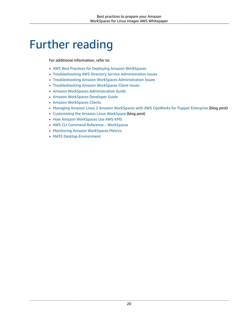## <span id="page-22-0"></span>Further reading

For additional information, refer to:

- AWS Best Practices for Deploying Amazon [WorkSpaces](https://docs.aws.amazon.com/whitepapers/latest/best-practices-deploying-amazon-workspaces/best-practices-deploying-amazon-workspaces.html)
- [Troubleshooting](https://docs.aws.amazon.com/directoryservice/latest/admin-guide/what_is.html) AWS Directory Service Administration Issues
- [Troubleshooting](https://docs.aws.amazon.com/workspaces/latest/adminguide/admin_troubleshooting.html) Amazon WorkSpaces Administration Issues
- [Troubleshooting](https://docs.aws.amazon.com/workspaces/latest/userguide/client_troubleshooting.html) Amazon WorkSpaces Client Issues
- Amazon WorkSpaces [Administration](https://docs.aws.amazon.com/workspaces/latest/adminguide/amazon-workspaces.html) Guide
- Amazon [WorkSpaces](https://docs.aws.amazon.com/workspaces/latest/api/welcome.html) Developer Guide
- Amazon [WorkSpaces](https://docs.aws.amazon.com/workspaces/latest/userguide/amazon-workspaces-clients.html) Clients
- Managing Amazon Linux 2 Amazon [WorkSpaces](https://aws.amazon.com/blogs/desktop-and-application-streaming/managing-amazon-linux-2-amazon-workspaces-with-aws-opsworks-for-puppet-enterprise/) with AWS OpsWorks for Puppet Enterprise (blog post)
- [Customizing](https://aws.amazon.com/blogs/desktop-and-application-streaming/customizing-the-amazon-linux-workspace/) the Amazon Linux WorkSpace (blog post)
- How Amazon [WorkSpaces](https://docs.aws.amazon.com/kms/latest/developerguide/services-workspaces.html) Use AWS KMS
- AWS CLI Command Reference [WorkSpaces](https://awscli.amazonaws.com/v2/documentation/api/latest/reference/workspaces/index.html)
- Monitoring Amazon [WorkSpaces](https://docs.aws.amazon.com/workspaces/latest/adminguide/monitoring.html) Metrics
- MATE Desktop [Environment](https://mate-desktop.org/)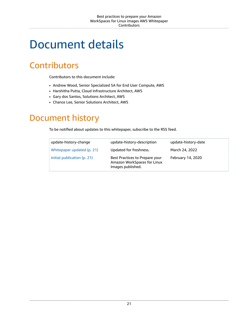## <span id="page-23-0"></span>Document details

## <span id="page-23-1"></span>**Contributors**

Contributors to this document include:

- Andrew Wood, Senior Specialized SA for End User Compute, AWS
- Harshitha Putta, Cloud Infrastructure Architect, AWS
- Gary dos Santos, Solutions Architect, AWS
- Chance Lee, Senior Solutions Architect, AWS

### <span id="page-23-2"></span>Document history

To be notified about updates to this whitepaper, subscribe to the RSS feed.

| update-history-change       | update-history-description                                                         | update-history-date |
|-----------------------------|------------------------------------------------------------------------------------|---------------------|
| Whitepaper updated (p. 21)  | Updated for freshness.                                                             | March 24, 2022      |
| Initial publication (p. 21) | Best Practices to Prepare your<br>Amazon WorkSpaces for Linux<br>Images published. | February 14, 2020   |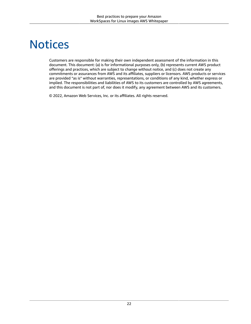## <span id="page-24-0"></span>**Notices**

Customers are responsible for making their own independent assessment of the information in this document. This document: (a) is for informational purposes only, (b) represents current AWS product offerings and practices, which are subject to change without notice, and (c) does not create any commitments or assurances from AWS and its affiliates, suppliers or licensors. AWS products or services are provided "as is" without warranties, representations, or conditions of any kind, whether express or implied. The responsibilities and liabilities of AWS to its customers are controlled by AWS agreements, and this document is not part of, nor does it modify, any agreement between AWS and its customers.

© 2022, Amazon Web Services, Inc. or its affiliates. All rights reserved.